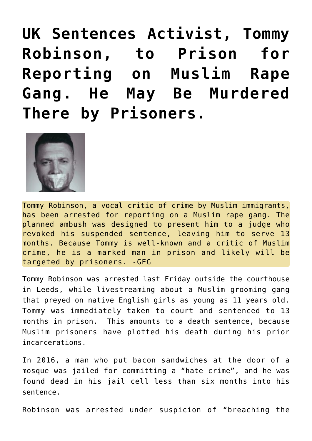**[UK Sentences Activist, Tommy](https://needtoknow.news/2018/05/uk-sentences-activist-tommy-robinson-prison-reporting-muslim-rape-gang-may-murdered-prisoners/) [Robinson, to Prison for](https://needtoknow.news/2018/05/uk-sentences-activist-tommy-robinson-prison-reporting-muslim-rape-gang-may-murdered-prisoners/) [Reporting on Muslim Rape](https://needtoknow.news/2018/05/uk-sentences-activist-tommy-robinson-prison-reporting-muslim-rape-gang-may-murdered-prisoners/) [Gang. He May Be Murdered](https://needtoknow.news/2018/05/uk-sentences-activist-tommy-robinson-prison-reporting-muslim-rape-gang-may-murdered-prisoners/) [There by Prisoners.](https://needtoknow.news/2018/05/uk-sentences-activist-tommy-robinson-prison-reporting-muslim-rape-gang-may-murdered-prisoners/)**



Tommy Robinson, a vocal critic of crime by Muslim immigrants, has been arrested for reporting on a Muslim rape gang. The planned ambush was designed to present him to a judge who revoked his suspended sentence, leaving him to serve 13 months. Because Tommy is well-known and a critic of Muslim crime, he is a marked man in prison and likely will be targeted by prisoners. -GEG

Tommy Robinson was arrested last Friday outside the courthouse in Leeds, while livestreaming about a Muslim grooming gang that preyed on native English girls as young as 11 years old. Tommy was immediately taken to court and sentenced to 13 months in prison. This amounts to a death sentence, because Muslim prisoners have plotted his death during his prior incarcerations.

In 2016, a man who put bacon sandwiches at the door of a mosque was jailed for committing a "hate crime", and he was found dead in his jail cell less than six months into his sentence.

Robinson was arrested under suspicion of "breaching the